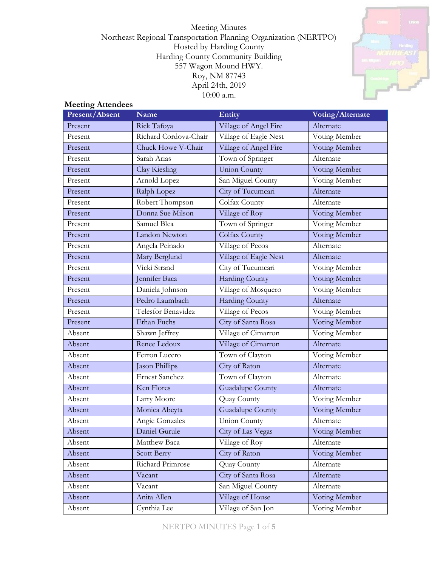Meeting Minutes Northeast Regional Transportation Planning Organization (NERTPO) Hosted by Harding County Harding County Community Building 557 Wagon Mound HWY. Roy, NM 87743 April 24th, 2019 10:00 a.m.



## **Meeting Attendees**

| Present/Absent | <b>Name</b>           | Entity                  | Voting/Alternate |  |
|----------------|-----------------------|-------------------------|------------------|--|
| Present        | Rick Tafoya           | Village of Angel Fire   | Alternate        |  |
| Present        | Richard Cordova-Chair | Village of Eagle Nest   | Voting Member    |  |
| Present        | Chuck Howe V-Chair    | Village of Angel Fire   | Voting Member    |  |
| Present        | Sarah Arias           | Town of Springer        | Alternate        |  |
| Present        | Clay Kiesling         | <b>Union County</b>     | Voting Member    |  |
| Present        | Arnold Lopez          | San Miguel County       | Voting Member    |  |
| Present        | Ralph Lopez           | City of Tucumcari       | Alternate        |  |
| Present        | Robert Thompson       | Colfax County           | Alternate        |  |
| Present        | Donna Sue Milson      | Village of Roy          | Voting Member    |  |
| Present        | Samuel Blea           | Town of Springer        | Voting Member    |  |
| Present        | Landon Newton         | Colfax County           | Voting Member    |  |
| Present        | Angela Peinado        | Village of Pecos        | Alternate        |  |
| Present        | Mary Berglund         | Village of Eagle Nest   | Alternate        |  |
| Present        | Vicki Strand          | City of Tucumcari       | Voting Member    |  |
| Present        | Jennifer Baca         | <b>Harding County</b>   | Voting Member    |  |
| Present        | Daniela Johnson       | Village of Mosquero     | Voting Member    |  |
| Present        | Pedro Laumbach        | <b>Harding County</b>   | Alternate        |  |
| Present        | Telesfor Benavidez    | Village of Pecos        | Voting Member    |  |
| Present        | <b>Ethan Fuchs</b>    | City of Santa Rosa      | Voting Member    |  |
| Absent         | Shawn Jeffrey         | Village of Cimarron     | Voting Member    |  |
| Absent         | Renee Ledoux          | Village of Cimarron     | Alternate        |  |
| Absent         | Ferron Lucero         | Town of Clayton         | Voting Member    |  |
| Absent         | Jason Phillips        | City of Raton           | Alternate        |  |
| Absent         | <b>Ernest Sanchez</b> | Town of Clayton         | Alternate        |  |
| Absent         | Ken Flores            | <b>Guadalupe County</b> | Alternate        |  |
| Absent         | Larry Moore           | Quay County             | Voting Member    |  |
| Absent         | Monica Abeyta         | <b>Guadalupe County</b> | Voting Member    |  |
| Absent         | Angie Gonzales        | Union County            | Alternate        |  |
| Absent         | Daniel Gurule         | City of Las Vegas       | Voting Member    |  |
| Absent         | Matthew Baca          | Village of Roy          | Alternate        |  |
| Absent         | Scott Berry           | City of Raton           | Voting Member    |  |
| Absent         | Richard Primrose      | Quay County             | Alternate        |  |
| Absent         | Vacant                | City of Santa Rosa      | Alternate        |  |
| Absent         | Vacant                | San Miguel County       | Alternate        |  |
| Absent         | Anita Allen           | Village of House        | Voting Member    |  |
| Absent         | Cynthia Lee           | Village of San Jon      | Voting Member    |  |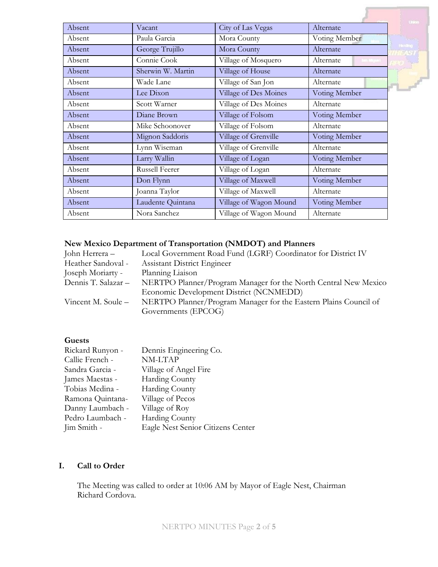| City of Las Vegas<br>Alternate<br>Vacant<br>Paula Garcia<br>Mora County<br>Voting Member<br>Handbyg<br>Mora County<br>Alternate<br>George Trujillo<br>Connie Cook<br>Village of Mosquero<br>Alternate<br><b>Jan Mipal</b><br>Sherwin W. Martin<br>Village of House<br>Alternate<br>Wade Lane<br>Village of San Jon<br>Alternate<br>Village of Des Moines<br>Lee Dixon<br>Voting Member<br>Village of Des Moines<br>Scott Warner<br>Alternate<br>Diane Brown<br>Village of Folsom<br>Voting Member<br>Mike Schoonover<br>Village of Folsom<br>Alternate<br>Mignon Saddoris<br>Village of Grenville<br>Voting Member<br>Village of Grenville<br>Lynn Wiseman<br>Alternate<br>Larry Wallin<br>Village of Logan<br>Voting Member<br>Russell Feerer<br>Village of Logan<br>Alternate<br>Village of Maxwell<br>Voting Member<br>Don Flynn<br>Joanna Taylor<br>Village of Maxwell<br>Alternate<br>Laudente Quintana<br>Village of Wagon Mound<br>Voting Member<br>Village of Wagon Mound<br>Alternate<br>Nora Sanchez |        |  | <b>United</b> |
|----------------------------------------------------------------------------------------------------------------------------------------------------------------------------------------------------------------------------------------------------------------------------------------------------------------------------------------------------------------------------------------------------------------------------------------------------------------------------------------------------------------------------------------------------------------------------------------------------------------------------------------------------------------------------------------------------------------------------------------------------------------------------------------------------------------------------------------------------------------------------------------------------------------------------------------------------------------------------------------------------------------|--------|--|---------------|
|                                                                                                                                                                                                                                                                                                                                                                                                                                                                                                                                                                                                                                                                                                                                                                                                                                                                                                                                                                                                                | Absent |  |               |
|                                                                                                                                                                                                                                                                                                                                                                                                                                                                                                                                                                                                                                                                                                                                                                                                                                                                                                                                                                                                                | Absent |  |               |
|                                                                                                                                                                                                                                                                                                                                                                                                                                                                                                                                                                                                                                                                                                                                                                                                                                                                                                                                                                                                                | Absent |  |               |
|                                                                                                                                                                                                                                                                                                                                                                                                                                                                                                                                                                                                                                                                                                                                                                                                                                                                                                                                                                                                                | Absent |  |               |
|                                                                                                                                                                                                                                                                                                                                                                                                                                                                                                                                                                                                                                                                                                                                                                                                                                                                                                                                                                                                                | Absent |  |               |
|                                                                                                                                                                                                                                                                                                                                                                                                                                                                                                                                                                                                                                                                                                                                                                                                                                                                                                                                                                                                                | Absent |  |               |
|                                                                                                                                                                                                                                                                                                                                                                                                                                                                                                                                                                                                                                                                                                                                                                                                                                                                                                                                                                                                                | Absent |  |               |
|                                                                                                                                                                                                                                                                                                                                                                                                                                                                                                                                                                                                                                                                                                                                                                                                                                                                                                                                                                                                                | Absent |  |               |
|                                                                                                                                                                                                                                                                                                                                                                                                                                                                                                                                                                                                                                                                                                                                                                                                                                                                                                                                                                                                                | Absent |  |               |
|                                                                                                                                                                                                                                                                                                                                                                                                                                                                                                                                                                                                                                                                                                                                                                                                                                                                                                                                                                                                                | Absent |  |               |
|                                                                                                                                                                                                                                                                                                                                                                                                                                                                                                                                                                                                                                                                                                                                                                                                                                                                                                                                                                                                                | Absent |  |               |
|                                                                                                                                                                                                                                                                                                                                                                                                                                                                                                                                                                                                                                                                                                                                                                                                                                                                                                                                                                                                                | Absent |  |               |
|                                                                                                                                                                                                                                                                                                                                                                                                                                                                                                                                                                                                                                                                                                                                                                                                                                                                                                                                                                                                                | Absent |  |               |
|                                                                                                                                                                                                                                                                                                                                                                                                                                                                                                                                                                                                                                                                                                                                                                                                                                                                                                                                                                                                                | Absent |  |               |
|                                                                                                                                                                                                                                                                                                                                                                                                                                                                                                                                                                                                                                                                                                                                                                                                                                                                                                                                                                                                                | Absent |  |               |
|                                                                                                                                                                                                                                                                                                                                                                                                                                                                                                                                                                                                                                                                                                                                                                                                                                                                                                                                                                                                                | Absent |  |               |
|                                                                                                                                                                                                                                                                                                                                                                                                                                                                                                                                                                                                                                                                                                                                                                                                                                                                                                                                                                                                                | Absent |  |               |
|                                                                                                                                                                                                                                                                                                                                                                                                                                                                                                                                                                                                                                                                                                                                                                                                                                                                                                                                                                                                                | Absent |  |               |

# **New Mexico Department of Transportation (NMDOT) and Planners**

| John Herrera –      | Local Government Road Fund (LGRF) Coordinator for District IV    |
|---------------------|------------------------------------------------------------------|
| Heather Sandoval -  | Assistant District Engineer                                      |
| Joseph Moriarty -   | Planning Liaison                                                 |
| Dennis T. Salazar – | NERTPO Planner/Program Manager for the North Central New Mexico  |
|                     | Economic Development District (NCNMEDD)                          |
| Vincent M. Soule –  | NERTPO Planner/Program Manager for the Eastern Plains Council of |
|                     | Governments (EPCOG)                                              |
|                     |                                                                  |

# **Guests**

| Rickard Runyon - | Dennis Engineering Co.            |
|------------------|-----------------------------------|
| Callie French -  | NM-LTAP                           |
| Sandra Garcia -  | Village of Angel Fire             |
| James Maestas -  | <b>Harding County</b>             |
| Tobias Medina -  | Harding County                    |
| Ramona Quintana- | Village of Pecos                  |
| Danny Laumbach - | Village of Roy                    |
| Pedro Laumbach - | <b>Harding County</b>             |
| Jim Smith -      | Eagle Nest Senior Citizens Center |

# **I. Call to Order**

The Meeting was called to order at 10:06 AM by Mayor of Eagle Nest, Chairman Richard Cordova.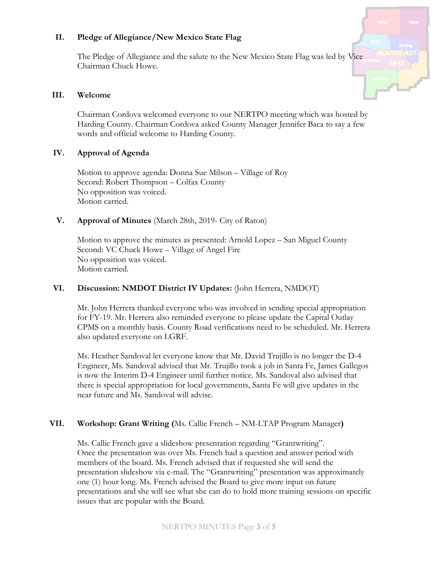### **II. Pledge of Allegiance/New Mexico State Flag**

The Pledge of Allegiance and the salute to the New Mexico State Flag was led by Vice Chairman Chuck Howe.

#### **III. Welcome**

Chairman Cordova welcomed everyone to our NERTPO meeting which was hosted by Harding County. Chairman Cordova asked County Manager Jennifer Baca to say a few words and official welcome to Harding County.

#### **IV. Approval of Agenda**

Motion to approve agenda: Donna Sue Milson – Village of Roy Second: Robert Thompson – Colfax County No opposition was voiced. Motion carried.

## **V. Approval of Minutes** (March 28th, 2019- City of Raton)

Motion to approve the minutes as presented: Arnold Lopez – San Miguel County Second: VC Chuck Howe – Village of Angel Fire No opposition was voiced. Motion carried.

# **VI. Discussion: NMDOT District IV Updates:** (John Herrera, NMDOT)

Mr. John Herrera thanked everyone who was involved in sending special appropriation for FY-19. Mr. Herrera also reminded everyone to please update the Capital Outlay CPMS on a monthly basis. County Road verifications need to be scheduled. Mr. Herrera also updated everyone on LGRF.

Ms. Heather Sandoval let everyone know that Mr. David Trujillo is no longer the D-4 Engineer, Ms. Sandoval advised that Mr. Trujillo took a job in Santa Fe, James Gallegos is now the Interim D-4 Engineer until further notice. Ms. Sandoval also advised that there is special appropriation for local governments, Santa Fe will give updates in the near future and Ms. Sandoval will advise.

#### **VII. Workshop: Grant Writing (**Ms. Callie French – NM-LTAP Program Manager**)**

Ms. Callie French gave a slideshow presentation regarding "Grantwriting". Once the presentation was over Ms. French had a question and answer period with members of the board. Ms. French advised that if requested she will send the presentation slideshow via e-mail. The "Grantwriting" presentation was approximately one (1) hour long. Ms. French advised the Board to give more input on future presentations and she will see what she can do to hold more training sessions on specific issues that are popular with the Board.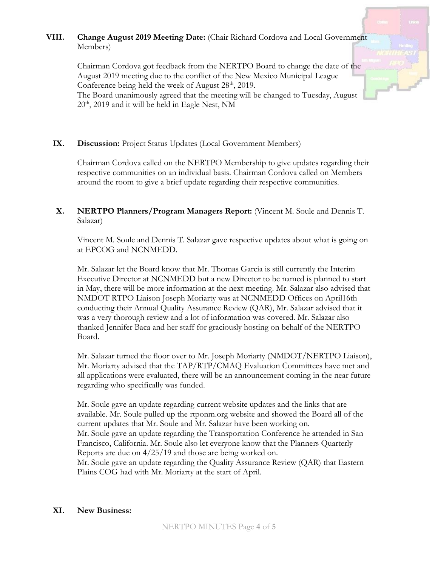# **VIII. Change August 2019 Meeting Date:** (Chair Richard Cordova and Local Government Members)

Chairman Cordova got feedback from the NERTPO Board to change the date of the August 2019 meeting due to the conflict of the New Mexico Municipal League Conference being held the week of August  $28<sup>th</sup>$ , 2019. The Board unanimously agreed that the meeting will be changed to Tuesday, August  $20<sup>th</sup>$ ,  $2019$  and it will be held in Eagle Nest, NM

## IX. Discussion: Project Status Updates (Local Government Members)

Chairman Cordova called on the NERTPO Membership to give updates regarding their respective communities on an individual basis. Chairman Cordova called on Members around the room to give a brief update regarding their respective communities.

## **X. NERTPO Planners/Program Managers Report:** (Vincent M. Soule and Dennis T. Salazar)

Vincent M. Soule and Dennis T. Salazar gave respective updates about what is going on at EPCOG and NCNMEDD.

Mr. Salazar let the Board know that Mr. Thomas Garcia is still currently the Interim Executive Director at NCNMEDD but a new Director to be named is planned to start in May, there will be more information at the next meeting. Mr. Salazar also advised that NMDOT RTPO Liaison Joseph Moriarty was at NCNMEDD Offices on April16th conducting their Annual Quality Assurance Review (QAR), Mr. Salazar advised that it was a very thorough review and a lot of information was covered. Mr. Salazar also thanked Jennifer Baca and her staff for graciously hosting on behalf of the NERTPO Board.

Mr. Salazar turned the floor over to Mr. Joseph Moriarty (NMDOT/NERTPO Liaison), Mr. Moriarty advised that the TAP/RTP/CMAQ Evaluation Committees have met and all applications were evaluated, there will be an announcement coming in the near future regarding who specifically was funded.

Mr. Soule gave an update regarding current website updates and the links that are available. Mr. Soule pulled up the rtponm.org website and showed the Board all of the current updates that Mr. Soule and Mr. Salazar have been working on. Mr. Soule gave an update regarding the Transportation Conference he attended in San Francisco, California. Mr. Soule also let everyone know that the Planners Quarterly Reports are due on 4/25/19 and those are being worked on. Mr. Soule gave an update regarding the Quality Assurance Review (QAR) that Eastern Plains COG had with Mr. Moriarty at the start of April.

#### **XI. New Business:**